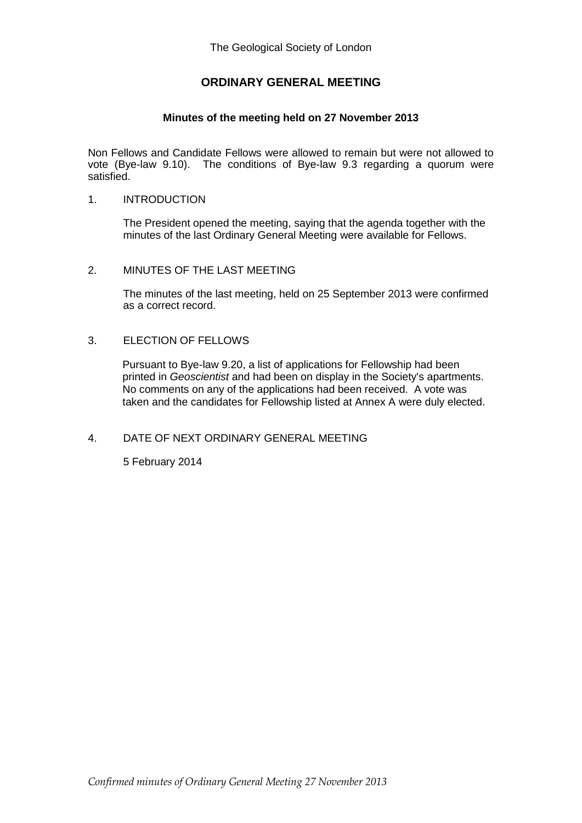## **ORDINARY GENERAL MEETING**

### **Minutes of the meeting held on 27 November 2013**

Non Fellows and Candidate Fellows were allowed to remain but were not allowed to vote (Bye-law 9.10). The conditions of Bye-law 9.3 regarding a quorum were satisfied.

#### 1. INTRODUCTION

The President opened the meeting, saying that the agenda together with the minutes of the last Ordinary General Meeting were available for Fellows.

#### 2. MINUTES OF THE LAST MEETING

The minutes of the last meeting, held on 25 September 2013 were confirmed as a correct record.

#### 3. ELECTION OF FELLOWS

Pursuant to Bye-law 9.20, a list of applications for Fellowship had been printed in *Geoscientist* and had been on display in the Society's apartments. No comments on any of the applications had been received. A vote was taken and the candidates for Fellowship listed at Annex A were duly elected.

### 4. DATE OF NEXT ORDINARY GENERAL MEETING

5 February 2014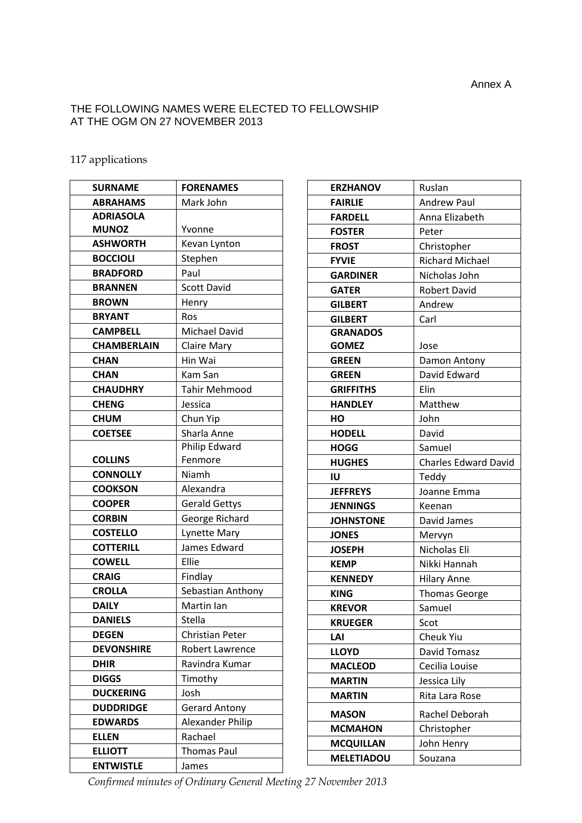## THE FOLLOWING NAMES WERE ELECTED TO FELLOWSHIP AT THE OGM ON 27 NOVEMBER 2013

## 117 applications

| <b>SURNAME</b>     | <b>FORENAMES</b>       |
|--------------------|------------------------|
| <b>ABRAHAMS</b>    | Mark John              |
| <b>ADRIASOLA</b>   |                        |
| <b>MUNOZ</b>       | Yvonne                 |
| <b>ASHWORTH</b>    | Kevan Lynton           |
| <b>BOCCIOLI</b>    | Stephen                |
| <b>BRADFORD</b>    | Paul                   |
| <b>BRANNEN</b>     | Scott David            |
| <b>BROWN</b>       | Henry                  |
| <b>BRYANT</b>      | Ros                    |
| <b>CAMPBELL</b>    | Michael David          |
| <b>CHAMBERLAIN</b> | <b>Claire Mary</b>     |
| <b>CHAN</b>        | Hin Wai                |
| <b>CHAN</b>        | Kam San                |
| <b>CHAUDHRY</b>    | <b>Tahir Mehmood</b>   |
| <b>CHENG</b>       | Jessica                |
| <b>CHUM</b>        | Chun Yip               |
| <b>COETSEE</b>     | Sharla Anne            |
|                    | Philip Edward          |
| <b>COLLINS</b>     | Fenmore                |
| <b>CONNOLLY</b>    | Niamh                  |
| <b>COOKSON</b>     | Alexandra              |
| <b>COOPER</b>      | <b>Gerald Gettys</b>   |
| <b>CORBIN</b>      | George Richard         |
| <b>COSTELLO</b>    | <b>Lynette Mary</b>    |
| <b>COTTERILL</b>   | James Edward           |
| <b>COWELL</b>      | Ellie                  |
| <b>CRAIG</b>       | Findlay                |
| <b>CROLLA</b>      | Sebastian Anthony      |
| <b>DAILY</b>       | Martin Ian             |
| <b>DANIELS</b>     | Stella                 |
| <b>DEGEN</b>       | <b>Christian Peter</b> |
| <b>DEVONSHIRE</b>  | Robert Lawrence        |
| <b>DHIR</b>        | Ravindra Kumar         |
| <b>DIGGS</b>       | Timothy                |
| <b>DUCKERING</b>   | Josh                   |
| <b>DUDDRIDGE</b>   | <b>Gerard Antony</b>   |
| <b>EDWARDS</b>     | Alexander Philip       |
| <b>ELLEN</b>       | Rachael                |
| <b>ELLIOTT</b>     | <b>Thomas Paul</b>     |
| <b>ENTWISTLE</b>   | James                  |

| <b>ERZHANOV</b>   | Ruslan                      |
|-------------------|-----------------------------|
| <b>FAIRLIE</b>    | <b>Andrew Paul</b>          |
| <b>FARDELL</b>    | Anna Elizabeth              |
| <b>FOSTER</b>     | Peter                       |
| <b>FROST</b>      | Christopher                 |
| <b>FYVIE</b>      | <b>Richard Michael</b>      |
| <b>GARDINER</b>   | Nicholas John               |
| <b>GATER</b>      | <b>Robert David</b>         |
| <b>GILBERT</b>    | Andrew                      |
| <b>GILBERT</b>    | Carl                        |
| <b>GRANADOS</b>   |                             |
| <b>GOMEZ</b>      | Jose                        |
| <b>GREEN</b>      | Damon Antony                |
| <b>GREEN</b>      | David Edward                |
| <b>GRIFFITHS</b>  | Elin                        |
| <b>HANDLEY</b>    | Matthew                     |
| HО                | John                        |
| <b>HODELL</b>     | David                       |
| <b>HOGG</b>       | Samuel                      |
| <b>HUGHES</b>     | <b>Charles Edward David</b> |
| ΙU                | Teddy                       |
| <b>JEFFREYS</b>   | Joanne Emma                 |
| <b>JENNINGS</b>   | Keenan                      |
| <b>JOHNSTONE</b>  | David James                 |
| <b>JONES</b>      | Mervyn                      |
| <b>JOSEPH</b>     | Nicholas Eli                |
| <b>KEMP</b>       | Nikki Hannah                |
| <b>KENNEDY</b>    | <b>Hilary Anne</b>          |
| <b>KING</b>       | <b>Thomas George</b>        |
| <b>KREVOR</b>     | Samuel                      |
| <b>KRUEGER</b>    | Scot                        |
| LAI               | <b>Cheuk Yiu</b>            |
| <b>LLOYD</b>      | David Tomasz                |
| <b>MACLEOD</b>    | Cecilia Louise              |
| <b>MARTIN</b>     | Jessica Lily                |
| <b>MARTIN</b>     | Rita Lara Rose              |
| <b>MASON</b>      | Rachel Deborah              |
| <b>MCMAHON</b>    | Christopher                 |
| <b>MCQUILLAN</b>  | John Henry                  |
| <b>MELETIADOU</b> | Souzana                     |
|                   |                             |

*Confirmed minutes of Ordinary General Meeting 27 November 2013*